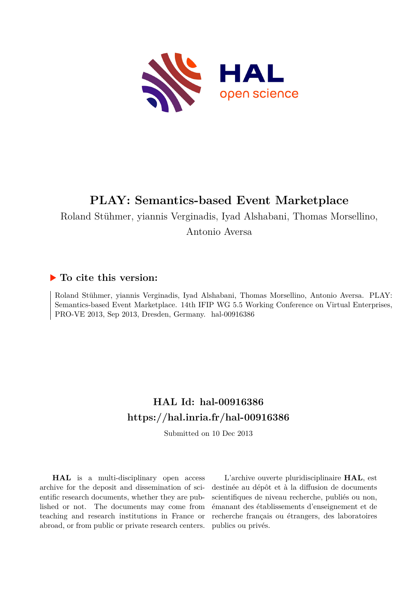

# **PLAY: Semantics-based Event Marketplace**

Roland Stühmer, yiannis Verginadis, Iyad Alshabani, Thomas Morsellino,

Antonio Aversa

## **To cite this version:**

Roland Stühmer, yiannis Verginadis, Iyad Alshabani, Thomas Morsellino, Antonio Aversa. PLAY: Semantics-based Event Marketplace. 14th IFIP WG 5.5 Working Conference on Virtual Enterprises, PRO-VE 2013, Sep 2013, Dresden, Germany. hal-00916386

## **HAL Id: hal-00916386 <https://hal.inria.fr/hal-00916386>**

Submitted on 10 Dec 2013

**HAL** is a multi-disciplinary open access archive for the deposit and dissemination of scientific research documents, whether they are published or not. The documents may come from teaching and research institutions in France or abroad, or from public or private research centers.

L'archive ouverte pluridisciplinaire **HAL**, est destinée au dépôt et à la diffusion de documents scientifiques de niveau recherche, publiés ou non, émanant des établissements d'enseignement et de recherche français ou étrangers, des laboratoires publics ou privés.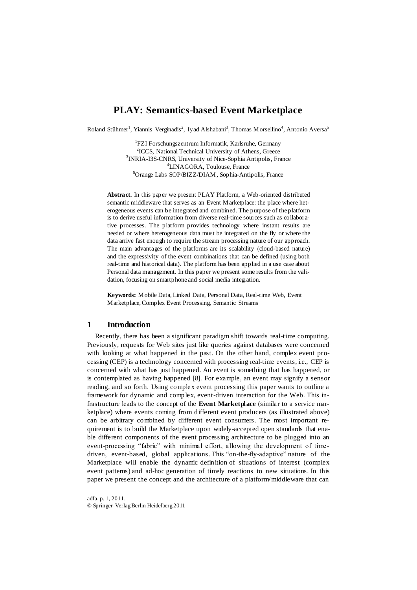## **PLAY: Semantics-based Event Marketplace**

Roland Stühmer<sup>1</sup>, Yiannis Verginadis<sup>2</sup>, Iyad Alshabani<sup>3</sup>, Thomas Morsellino<sup>4</sup>, Antonio Aversa<sup>5</sup>

<sup>1</sup>FZI Forschungszentrum Informatik, Karlsruhe, Germany <sup>2</sup>ICCS, National Technical University of Athens, Greece <sup>3</sup>INRIA-I3S-CNRS, University of Nice-Sophia Antipolis, France <sup>4</sup>LINAGORA, Toulouse, France <sup>5</sup>Orange Labs SOP/BIZZ/DIAM, Sophia-Antipolis, France

**Abstract.** In this paper we present PLAY Platform, a Web-oriented distributed semantic middleware that serves as an Event Marketplace: the place where heterogeneous events can be integrated and combined. The purpose of the platform is to derive useful information from diverse real-time sources such as collaborative processes. The platform provides technology where instant results are needed or where heterogeneous data must be integrated on the fly or where the data arrive fast enough to require the stream processing nature of our approach. The main advantages of the platforms are its scalability (cloud-based nature) and the expressivity of the event combinations that can be defined (using both real-time and historical data). The platform has been applied in a use case about Personal data management. In this paper we present some results from the validation, focusing on smartphone and social media integration.

**Keywords:** Mobile Data, Linked Data, Personal Data, Real-time Web, Event Marketplace, Complex Event Processing, Semantic Streams

## **1 Introduction**

Recently, there has been a significant paradigm shift towards real-time computing. Previously, requests for Web sites just like queries against databases were concerned with looking at what happened in the past. On the other hand, complex event processing (CEP) is a technology concerned with processing real-time events, i.e., CEP is concerned with what has just happened. An event is something that has happened, or is contemplated as having happened [\[8\]](#page-8-0). For example, an event may signify a sensor reading, and so forth. Using complex event processing this paper wants to outline a framework for dynamic and complex, event-driven interaction for the Web. This infrastructure leads to the concept of the **Event Marketplace** (similar to a service marketplace) where events coming from different event producers (as illustrated above) can be arbitrary combined by different event consumers. The most important requirement is to build the Marketplace upon widely-accepted open standards that enable different components of the event processing architecture to be plugged into an event-processing "fabric" with minimal effort, allowing the development of timedriven, event-based, global applications. This "on-the-fly-adaptive" nature of the Marketplace will enable the dynamic definition of situations of interest (complex event patterns) and ad-hoc generation of timely reactions to new situations. In this paper we present the concept and the architecture of a platform/middleware that can

adfa, p. 1, 2011. © Springer-Verlag Berlin Heidelberg 2011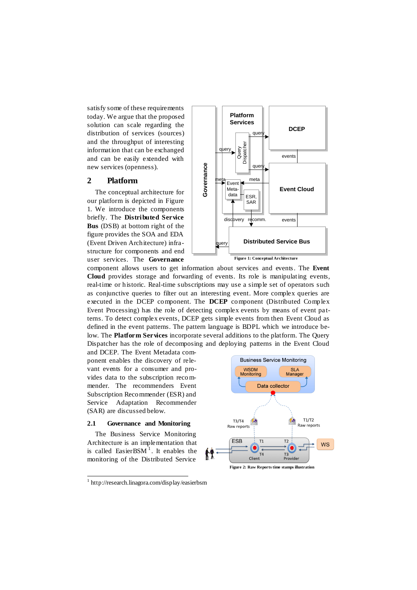satisfy some of these requirements today. We argue that the proposed solution can scale regarding the distribution of services (sources) and the throughput of interesting information that can be exchanged and can be easily extended with new services (openness).

## **2 Platform**

The conceptual architecture for our platform is depicted in [Figure](#page-2-0)  [1.](#page-2-0) We introduce the components briefly. The **Distributed Service Bus** (DSB) at bottom right of the figure provides the SOA and EDA (Event Driven Architecture) infrastructure for components and end user services. The **Governance**



component allows users to get information about services and events. The **Event Cloud** provides storage and forwarding of events. Its role is manipulating events, real-time or historic. Real-time subscriptions may use a simple set of operators such as conjunctive queries to filter out an interesting event. More complex queries are executed in the DCEP component. The **DCEP** component (Distributed Complex Event Processing) has the role of detecting complex events by means of event pa tterns. To detect complex events, DCEP gets simple events from then Event Cloud as defined in the event patterns. The pattern language is BDPL which we introduce below. The **Platform Services** incorporate several additions to the platform. The Query Dispatcher has the role of decomposing and deploying patterns in the Event Cloud

and DCEP. The Event Metadata component enables the discovery of relevant events for a consumer and provides data to the subscription recommender. The recommenders Event Subscription Recommender (ESR) and Service Adaptation Recommender (SAR) are discussed below.

#### **2.1 Governance and Monitoring**

The Business Service Monitoring Architecture is an implementation that is called  $EasierBSM<sup>1</sup>$ . It enables the monitoring of the Distributed Service

<span id="page-2-1"></span>l

<span id="page-2-0"></span>

<sup>1</sup> http://research.linagora.com/display/easierbsm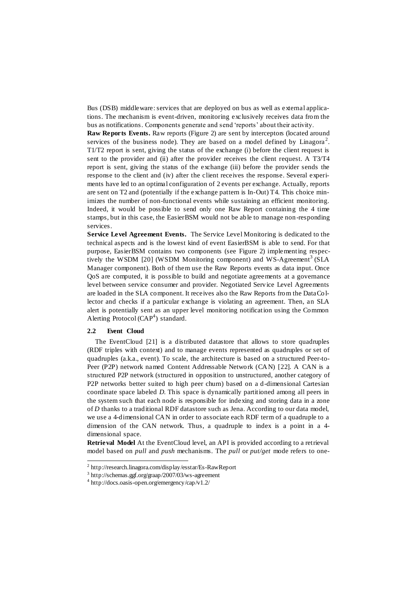Bus (DSB) middleware: services that are deployed on bus as well as external applications. The mechanism is event-driven, monitoring exclusively receives data from the bus as notifications. Components generate and send 'reports' about their activity.

**Raw Reports Events.** Raw reports [\(Figure 2\)](#page-2-1) are sent by interceptors (located around services of the business node). They are based on a model defined by Linagora<sup>2</sup>. T1/T2 report is sent, giving the status of the exchange (i) before the client request is sent to the provider and (ii) after the provider receives the client request. A T3/T4 report is sent, giving the status of the exchange (iii) before the provider sends the response to the client and (iv) after the client receives the response. Several experiments have led to an optimal configuration of 2 events per exchange. Actually, reports are sent on T2 and (potentially if the exchange pattern is In-Out) T4. This choice minimizes the number of non-functional events while sustaining an efficient monitoring. Indeed, it would be possible to send only one Raw Report containing the 4 time stamps, but in this case, the EasierBSM would not be able to manage non-responding services.

**Service Level Agreement Events.** The Service Level Monitoring is dedicated to the technical aspects and is the lowest kind of event EasierBSM is able to send. For that purpose, EasierBSM contains two components (see [Figure 2\)](#page-2-1) implementing respec-tively the WSDM [\[20\]](#page-8-1) (WSDM Monitoring component) and WS-Agreement<sup>3</sup> (SLA Manager component). Both of them use the Raw Reports events as data input. Once QoS are computed, it is possible to build and negotiate agreements at a governance level between service consumer and provider. Negotiated Service Level Agreements are loaded in the SLA component. It receives also the Raw Reports from the DataCo llector and checks if a particular exchange is violating an agreement. Then, an SLA alert is potentially sent as an upper level monitoring notification using the Common Alerting Protocol  $(CAP<sup>4</sup>)$  standard.

#### **2.2 Event Cloud**

l

The EventCloud [\[21\]](#page-8-2) is a distributed datastore that allows to store quadruples (RDF triples with context) and to manage events represented as quadruples or set of quadruples (a.k.a., event). To scale, the architecture is based on a structured Peer-to-Peer (P2P) network named Content Addressable Network (CAN) [\[22\]](#page-8-3). A CAN is a structured P2P network (structured in opposition to unstructured, another category of P2P networks better suited to high peer churn) based on a d-dimensional Cartesian coordinate space labeled *D*. This space is dynamically partitioned among all peers in the system such that each node is responsible for indexing and storing data in a zone of *D* thanks to a traditional RDF datastore such as Jena. According to our data model, we use a 4-dimensional CAN in order to associate each RDF term of a quadruple to a dimension of the CAN network. Thus, a quadruple to index is a point in a 4 dimensional space.

**Retrieval Model** At the EventCloud level, an API is provided according to a retrieval model based on *pull* and *push* mechanisms. The *pull* or *put/get* mode refers to one-

<sup>2</sup> http://research.linagora.com/display/esstar/Es-RawReport

<sup>3</sup> http://schemas.ggf.org/graap/2007/03/ws-agreement

<sup>4</sup> http://docs.oasis-open.org/emergency/cap/v1.2/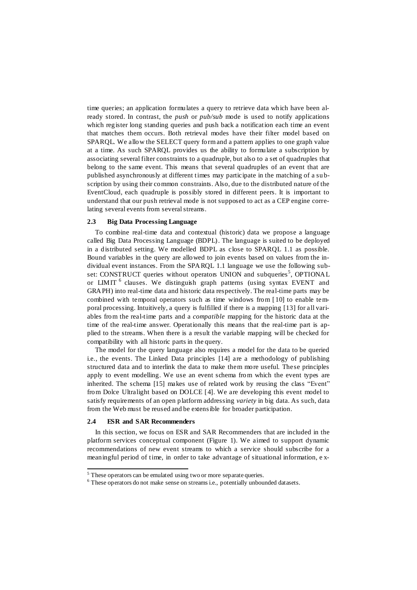time queries; an application formulates a query to retrieve data which have been already stored. In contrast, the *push* or *pub/sub* mode is used to notify applications which register long standing queries and push back a notification each time an event that matches them occurs. Both retrieval modes have their filter model based on SPARQL. We allow the SELECT query form and a pattern applies to one graph value at a time. As such SPARQL provides us the ability to formulate a subscription by associating several filter constraints to a quadruple, but also to a set of quadruples that belong to the same event. This means that several quadruples of an event that are published asynchronously at different times may participate in the matching of a su bscription by using their common constraints. Also, due to the distributed nature of the EventCloud, each quadruple is possibly stored in different peers. It is important to understand that our push retrieval mode is not supposed to act as a CEP engine correlating several events from several streams.

#### **2.3 Big Data Processing Language**

To combine real-time data and contextual (historic) data we propose a language called Big Data Processing Language (BDPL). The language is suited to be deployed in a distributed setting. We modelled BDPL as close to SPARQL 1.1 as possible. Bound variables in the query are allowed to join events based on values from the individual event instances. From the SPARQL 1.1 language we use the following subset: CONSTRUCT queries without operators UNION and subqueries<sup>5</sup>, OPTIONAL or LIMIT<sup>6</sup> clauses. We distinguish graph patterns (using syntax EVENT and GRAPH) into real-time data and historic data respectively. The real-time parts may be combined with temporal operators such as time windows from [ [10\]](#page-8-4) to enable temporal processing. Intuitively, a query is fulfilled if there is a mapping [\[13\]](#page-8-5) for all variables from the real-time parts and a *compatible* mapping for the historic data at the time of the real-time answer. Operationally this means that the real-time part is applied to the streams. When there is a result the variable mapping will be checked for compatibility with all historic parts in the query.

The model for the query language also requires a model for the data to be queried i.e., the events. The Linked Data principles [\[14\]](#page-8-6) are a methodology of publishing structured data and to interlink the data to make them more useful. These principles apply to event modelling. We use an event schema from which the event types are inherited. The schema [\[15\]](#page-8-7) makes use of related work by reusing the class "Event" from Dolce Ultralight based on DOLCE [\[4\]](#page-8-8). We are developing this event model to satisfy requirements of an open platform addressing *variety* in big data. As such, data from the Web must be reused and be extensible for broader participation.

#### **2.4 ESR and SAR Recommenders**

l

In this section, we focus on ESR and SAR Recommenders that are included in the platform services conceptual component [\(Figure 1\)](#page-2-0). We aimed to support dynamic recommendations of new event streams to which a service should subscribe for a meaningful period of time, in order to take advantage of situational information, e x-

 $<sup>5</sup>$  These operators can be emulated using two or more separate queries.</sup>

<sup>6</sup> These operators do not make sense on streams i.e., potentially unbounded datasets.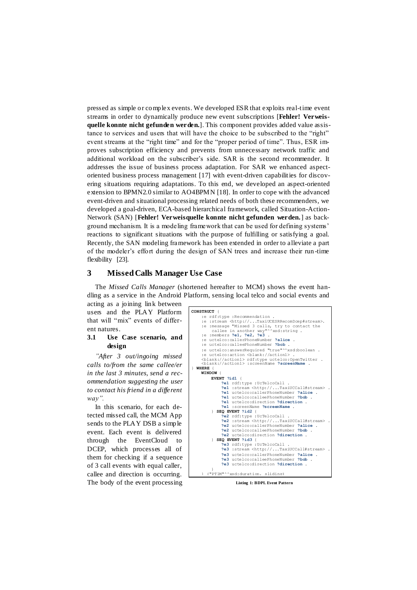pressed as simple or complex events. We developed ESR that exploits real-time event streams in order to dynamically produce new event subscriptions [**Fehler! Verweisquelle konnte nicht gefunden werden.**]. This component provides added value assistance to services and users that will have the choice to be subscribed to the "right" event streams at the "right time" and for the "proper period of time". Thus, ESR improves subscription efficiency and prevents from unnecessary network traffic and additional workload on the subscriber's side. SAR is the second recommender. It addresses the issue of business process adaptation. For SAR we enhanced aspectoriented business process management [\[17\]](#page-8-9) with event-driven capabilities for discovering situations requiring adaptations. To this end, we developed an aspect-oriented extension to BPMN2.0 similar to AO4BPMN [\[18\]](#page-8-10). In order to cope with the advanced event-driven and situational processing related needs of both these recommenders, we developed a goal-driven, ECA-based hierarchical framework, called Situation-Action-Network (SAN) [**Fehler! Verweisquelle konnte nicht gefunden werden.**] as background mechanism. It is a modeling framework that can be used for defining systems' reactions to significant situations with the purpose of fulfilling or satisfying a goal. Recently, the SAN modeling framework has been extended in order to alleviate a part of the modeler's effort during the design of SAN trees and increase their run -time flexibility [\[23\].](#page-8-11)

### **3 Missed Calls Manager Use Case**

The *Missed Calls Manager* (shortened hereafter to MCM) shows the event handling as a service in the Android Platform, sensing local telco and social events and

acting as a joining link between users and the PLAY Platform that will "mix" events of different natures.

#### **3.1 Use Case scenario, and design**

*"After 3 out/ingoing missed calls to/from the same callee/er in the last 3 minutes, send a recommendation suggesting the user to contact his friend in a different way".*

In this scenario, for each detected missed call, the MCM App sends to the PLAY DSB a simple event. Each event is delivered through the EventCloud to DCEP, which processes all of them for checking if a sequence of 3 call events with equal caller, callee and direction is occurring. The body of the event processing



<span id="page-5-0"></span>**Listing 1: BDPL Event Pattern**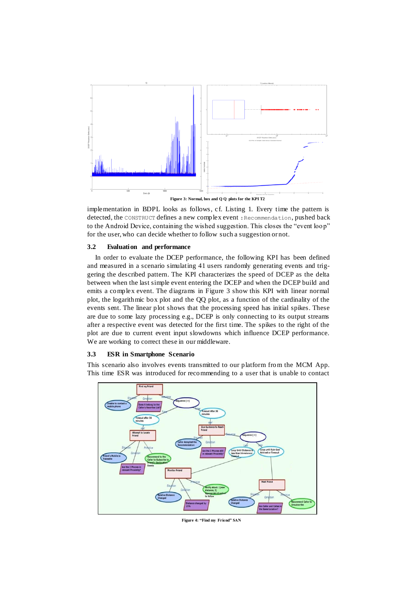

**Figure 3: Normal, box and Q Q plots for the KPI T2**

<span id="page-6-0"></span>implementation in BDPL looks as follows, cf. [Listing 1.](#page-5-0) Every time the pattern is detected, the CONSTRUCT defines a new complex event :Recommendation, pushed back to the Android Device, containing the wished suggestion. This closes the "event loop" for the user, who can decide whether to follow such a suggestion or not.

#### **3.2 Evaluation and performance**

In order to evaluate the DCEP performance, the following KPI has been defined and measured in a scenario simulating 41 users randomly generating events and triggering the described pattern. The KPI characterizes the speed of DCEP as the delta between when the last simple event entering the DCEP and when the DCEP build and emits a complex event. The diagrams in [Figure 3](#page-6-0) show this KPI with linear normal plot, the logarithmic box plot and the QQ plot, as a function of the cardinality of the events sent. The linear plot shows that the processing speed has initial spikes. These are due to some lazy processing e.g., DCEP is only connecting to its output streams after a respective event was detected for the first time. The spikes to the right of the plot are due to current event input slowdowns which influence DCEP performance. We are working to correct these in our middleware.

#### **3.3 ESR in Smartphone Scenario**

This scenario also involves events transmitted to our platform from the MCM App. This time ESR was introduced for recommending to a user that is unable to contact



<span id="page-6-1"></span>**Figure 4: "Find my Friend" SAN**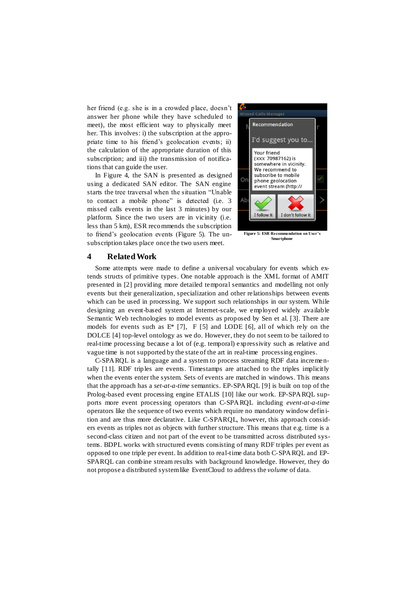her friend (e.g. she is in a crowded place, doesn't answer her phone while they have scheduled to meet), the most efficient way to physically meet her. This involves: i) the subscription at the appropriate time to his friend's geolocation events; ii) the calculation of the appropriate duration of this subscription; and iii) the transmission of notifications that can guide the user.

In [Figure 4,](#page-6-1) the SAN is presented as designed using a dedicated SAN editor. The SAN engine starts the tree traversal when the situation "Unable to contact a mobile phone" is detected (i.e. 3 missed calls events in the last 3 minutes) by our platform. Since the two users are in vicinity (i.e. less than 5 km), ESR recommends the subscription to friend's geolocation events [\(Figure 5\)](#page-7-0). The unsubscription takes place once the two users meet.

<span id="page-7-0"></span>

#### **4 Related Work**

Some attempts were made to define a universal vocabulary for events which extends structs of primitive types. One notable approach is the XML format of AMIT presented in [\[2\]](#page-8-12) providing more detailed temporal semantics and modelling not only events but their generalization, specialization and other relationships between events which can be used in processing. We support such relationships in our system. While designing an event-based system at Internet-scale, we employed widely available Semantic Web technologies to model events as proposed by Sen et al. [\[3\]](#page-8-13). There are models for events such as  $E^*$  [\[7\]](#page-8-14), F [\[5\]](#page-8-15) and LODE [\[6\]](#page-8-16), all of which rely on the DOLCE [\[4\]](#page-8-8) top-level ontology as we do. However, they do not seem to be tailored to real-time processing because a lot of (e.g. temporal) expressivity such as relative and vague time is not supported by the state of the art in real-time processing engines.

C-SPARQL is a language and a system to process streaming RDF data incrementally [\[11\]](#page-8-17). RDF triples are events. Timestamps are attached to the triples implicitly when the events enter the system. Sets of events are matched in windows. This means that the approach has a *set-at-a-time* semantics. EP-SPARQL [\[9\]](#page-8-18) is built on top of the Prolog-based event processing engine ETALIS [\[10\]](#page-8-4) like our work. EP-SPARQL supports more event processing operators than C-SPARQL including *event-at-a-time* operators like the sequence of two events which require no mandatory window defin ition and are thus more declarative. Like C-SPARQL, however, this approach considers events as triples not as objects with further structure. This means that e.g. time is a second-class citizen and not part of the event to be transmitted across distributed systems. BDPL works with structured events consisting of many RDF triples per event as opposed to one triple per event. In addition to real-time data both C-SPARQL and EP-SPARQL can combine stream results with background knowledge. However, they do not propose a distributed systemlike EventCloud to address the *volume* of data.